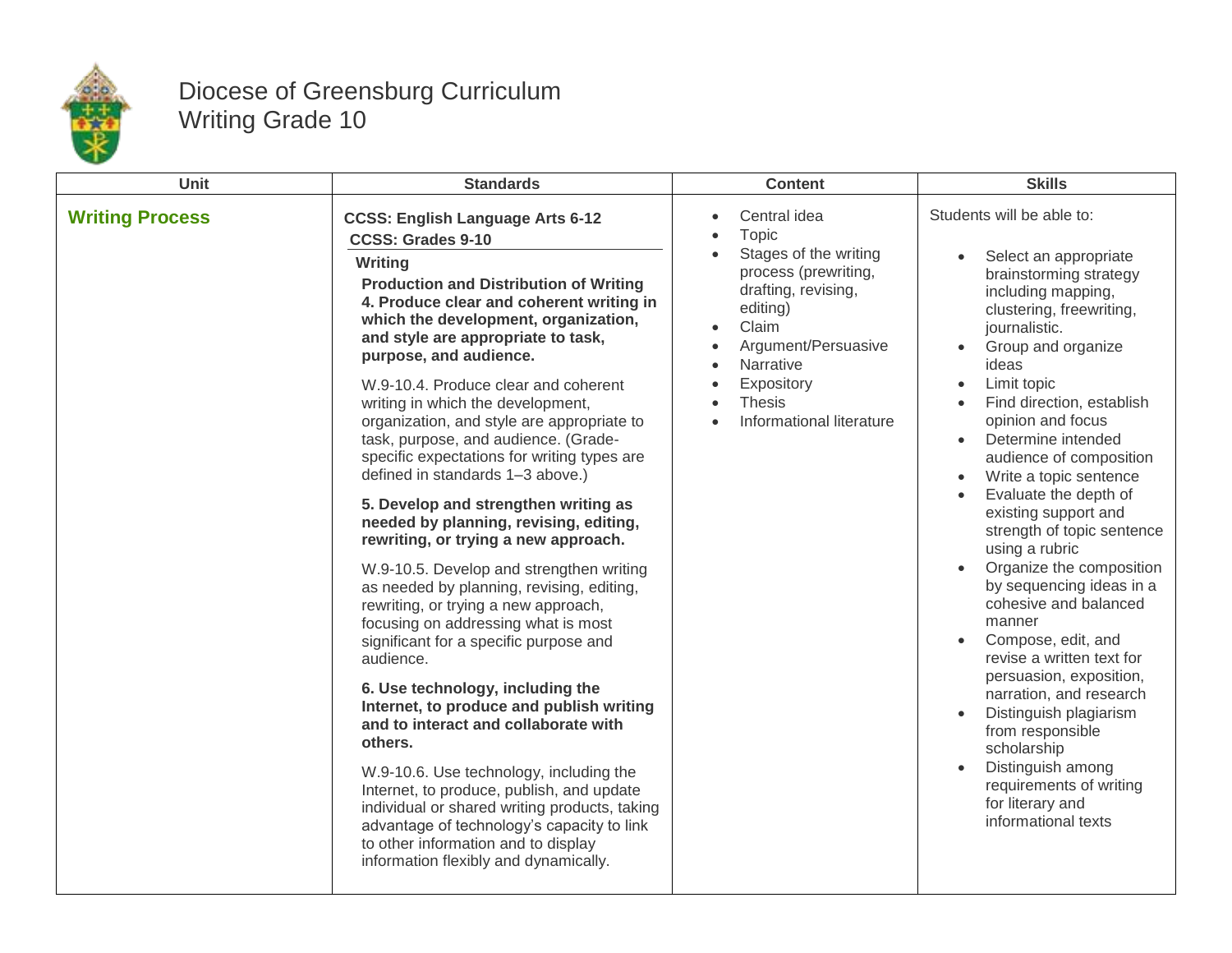

## Diocese of Greensburg Curriculum Writing Grade 10

| <b>Unit</b>            | <b>Standards</b>                                                                                                                                                                                                                                                                                                                                                                                                                                                                                                                                                                                                                                                                                                                                                                                                                                                                                                                                                                                                                                                                                                                                                                                                                                                                                             | <b>Content</b>                                                                                                                                                                                                                 | <b>Skills</b>                                                                                                                                                                                                                                                                                                                                                                                                                                                                                                                                                                                                                                                                                                                                                                                                     |
|------------------------|--------------------------------------------------------------------------------------------------------------------------------------------------------------------------------------------------------------------------------------------------------------------------------------------------------------------------------------------------------------------------------------------------------------------------------------------------------------------------------------------------------------------------------------------------------------------------------------------------------------------------------------------------------------------------------------------------------------------------------------------------------------------------------------------------------------------------------------------------------------------------------------------------------------------------------------------------------------------------------------------------------------------------------------------------------------------------------------------------------------------------------------------------------------------------------------------------------------------------------------------------------------------------------------------------------------|--------------------------------------------------------------------------------------------------------------------------------------------------------------------------------------------------------------------------------|-------------------------------------------------------------------------------------------------------------------------------------------------------------------------------------------------------------------------------------------------------------------------------------------------------------------------------------------------------------------------------------------------------------------------------------------------------------------------------------------------------------------------------------------------------------------------------------------------------------------------------------------------------------------------------------------------------------------------------------------------------------------------------------------------------------------|
| <b>Writing Process</b> | <b>CCSS: English Language Arts 6-12</b><br><b>CCSS: Grades 9-10</b><br>Writing<br><b>Production and Distribution of Writing</b><br>4. Produce clear and coherent writing in<br>which the development, organization,<br>and style are appropriate to task,<br>purpose, and audience.<br>W.9-10.4. Produce clear and coherent<br>writing in which the development,<br>organization, and style are appropriate to<br>task, purpose, and audience. (Grade-<br>specific expectations for writing types are<br>defined in standards 1-3 above.)<br>5. Develop and strengthen writing as<br>needed by planning, revising, editing,<br>rewriting, or trying a new approach.<br>W.9-10.5. Develop and strengthen writing<br>as needed by planning, revising, editing,<br>rewriting, or trying a new approach,<br>focusing on addressing what is most<br>significant for a specific purpose and<br>audience.<br>6. Use technology, including the<br>Internet, to produce and publish writing<br>and to interact and collaborate with<br>others.<br>W.9-10.6. Use technology, including the<br>Internet, to produce, publish, and update<br>individual or shared writing products, taking<br>advantage of technology's capacity to link<br>to other information and to display<br>information flexibly and dynamically. | Central idea<br>Topic<br>Stages of the writing<br>process (prewriting,<br>drafting, revising,<br>editing)<br>Claim<br>$\bullet$<br>Argument/Persuasive<br>Narrative<br>Expository<br><b>Thesis</b><br>Informational literature | Students will be able to:<br>Select an appropriate<br>$\bullet$<br>brainstorming strategy<br>including mapping,<br>clustering, freewriting,<br>journalistic.<br>Group and organize<br>ideas<br>Limit topic<br>Find direction, establish<br>opinion and focus<br>Determine intended<br>$\bullet$<br>audience of composition<br>Write a topic sentence<br>Evaluate the depth of<br>existing support and<br>strength of topic sentence<br>using a rubric<br>Organize the composition<br>by sequencing ideas in a<br>cohesive and balanced<br>manner<br>Compose, edit, and<br>revise a written text for<br>persuasion, exposition,<br>narration, and research<br>Distinguish plagiarism<br>from responsible<br>scholarship<br>Distinguish among<br>requirements of writing<br>for literary and<br>informational texts |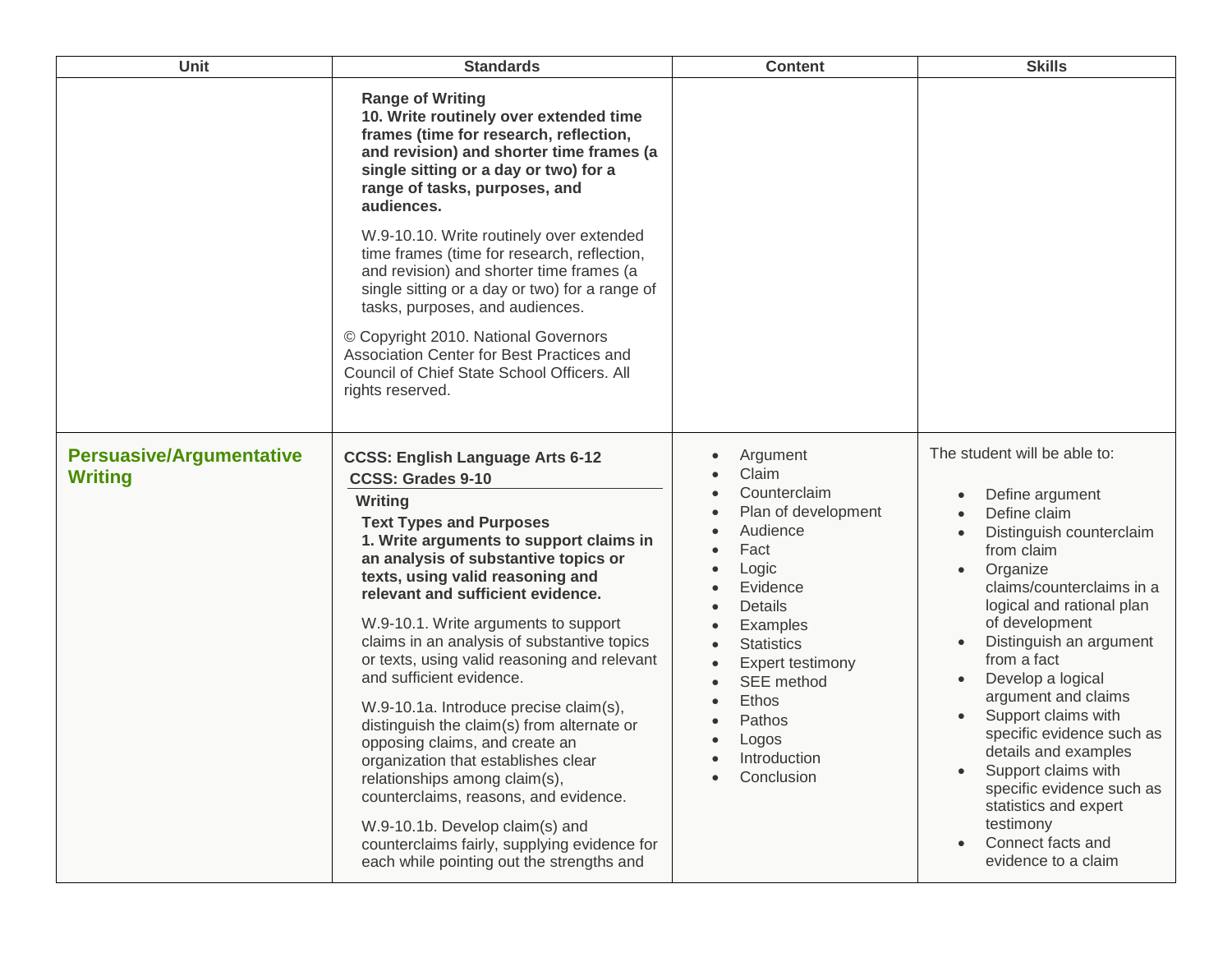| <b>Unit</b>                                       | <b>Standards</b>                                                                                                                                                                                                                                                                                                                                                                                                                                                                                                                                                                                                                                                                                                                                                                                                           | <b>Content</b>                                                                                                                                                                                                                            | <b>Skills</b>                                                                                                                                                                                                                                                                                                                                                                                                                                                                                                                       |
|---------------------------------------------------|----------------------------------------------------------------------------------------------------------------------------------------------------------------------------------------------------------------------------------------------------------------------------------------------------------------------------------------------------------------------------------------------------------------------------------------------------------------------------------------------------------------------------------------------------------------------------------------------------------------------------------------------------------------------------------------------------------------------------------------------------------------------------------------------------------------------------|-------------------------------------------------------------------------------------------------------------------------------------------------------------------------------------------------------------------------------------------|-------------------------------------------------------------------------------------------------------------------------------------------------------------------------------------------------------------------------------------------------------------------------------------------------------------------------------------------------------------------------------------------------------------------------------------------------------------------------------------------------------------------------------------|
|                                                   | <b>Range of Writing</b><br>10. Write routinely over extended time<br>frames (time for research, reflection,<br>and revision) and shorter time frames (a<br>single sitting or a day or two) for a<br>range of tasks, purposes, and<br>audiences.                                                                                                                                                                                                                                                                                                                                                                                                                                                                                                                                                                            |                                                                                                                                                                                                                                           |                                                                                                                                                                                                                                                                                                                                                                                                                                                                                                                                     |
|                                                   | W.9-10.10. Write routinely over extended<br>time frames (time for research, reflection,<br>and revision) and shorter time frames (a<br>single sitting or a day or two) for a range of<br>tasks, purposes, and audiences.                                                                                                                                                                                                                                                                                                                                                                                                                                                                                                                                                                                                   |                                                                                                                                                                                                                                           |                                                                                                                                                                                                                                                                                                                                                                                                                                                                                                                                     |
|                                                   | © Copyright 2010. National Governors<br>Association Center for Best Practices and<br>Council of Chief State School Officers. All<br>rights reserved.                                                                                                                                                                                                                                                                                                                                                                                                                                                                                                                                                                                                                                                                       |                                                                                                                                                                                                                                           |                                                                                                                                                                                                                                                                                                                                                                                                                                                                                                                                     |
| <b>Persuasive/Argumentative</b><br><b>Writing</b> | <b>CCSS: English Language Arts 6-12</b><br><b>CCSS: Grades 9-10</b><br>Writing<br><b>Text Types and Purposes</b><br>1. Write arguments to support claims in<br>an analysis of substantive topics or<br>texts, using valid reasoning and<br>relevant and sufficient evidence.<br>W.9-10.1. Write arguments to support<br>claims in an analysis of substantive topics<br>or texts, using valid reasoning and relevant<br>and sufficient evidence.<br>W.9-10.1a. Introduce precise claim(s),<br>distinguish the claim(s) from alternate or<br>opposing claims, and create an<br>organization that establishes clear<br>relationships among claim(s),<br>counterclaims, reasons, and evidence.<br>W.9-10.1b. Develop claim(s) and<br>counterclaims fairly, supplying evidence for<br>each while pointing out the strengths and | Argument<br>Claim<br>Counterclaim<br>Plan of development<br>Audience<br>Fact<br>Logic<br>Evidence<br>Details<br>Examples<br><b>Statistics</b><br>Expert testimony<br>SEE method<br>Ethos<br>Pathos<br>Logos<br>Introduction<br>Conclusion | The student will be able to:<br>Define argument<br>$\bullet$<br>Define claim<br>Distinguish counterclaim<br>from claim<br>Organize<br>claims/counterclaims in a<br>logical and rational plan<br>of development<br>Distinguish an argument<br>from a fact<br>Develop a logical<br>argument and claims<br>Support claims with<br>specific evidence such as<br>details and examples<br>Support claims with<br>specific evidence such as<br>statistics and expert<br>testimony<br>Connect facts and<br>$\bullet$<br>evidence to a claim |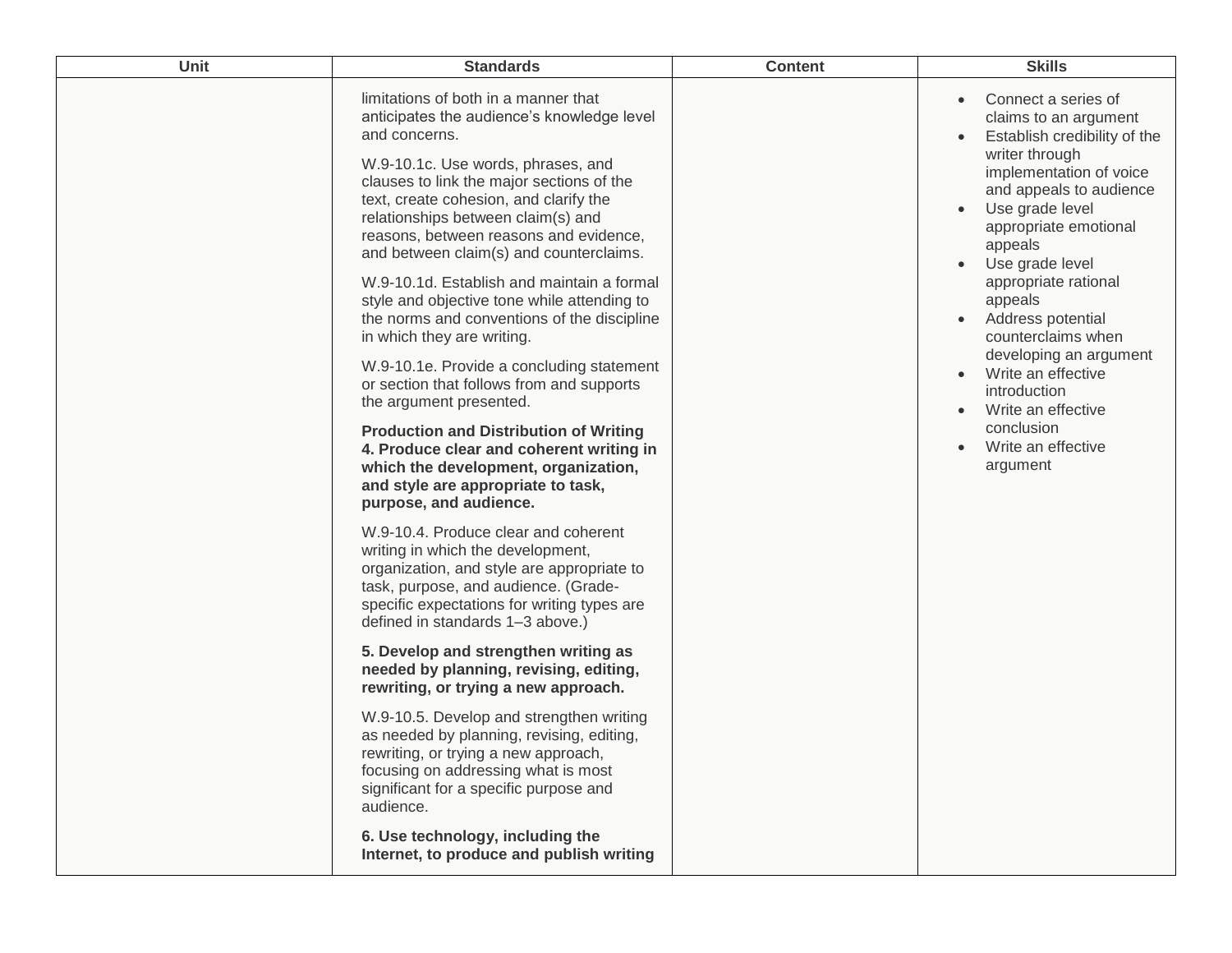| Unit | <b>Standards</b>                                                                                                                                                                                                                                                    | <b>Content</b> | <b>Skills</b>                                                                                                                                                                  |
|------|---------------------------------------------------------------------------------------------------------------------------------------------------------------------------------------------------------------------------------------------------------------------|----------------|--------------------------------------------------------------------------------------------------------------------------------------------------------------------------------|
|      | limitations of both in a manner that<br>anticipates the audience's knowledge level<br>and concerns.<br>W.9-10.1c. Use words, phrases, and<br>clauses to link the major sections of the<br>text, create cohesion, and clarify the                                    |                | Connect a series of<br>$\bullet$<br>claims to an argument<br>Establish credibility of the<br>$\bullet$<br>writer through<br>implementation of voice<br>and appeals to audience |
|      | relationships between claim(s) and<br>reasons, between reasons and evidence,<br>and between claim(s) and counterclaims.<br>W.9-10.1d. Establish and maintain a formal<br>style and objective tone while attending to<br>the norms and conventions of the discipline |                | Use grade level<br>$\bullet$<br>appropriate emotional<br>appeals<br>Use grade level<br>$\bullet$<br>appropriate rational<br>appeals<br>Address potential                       |
|      | in which they are writing.<br>W.9-10.1e. Provide a concluding statement<br>or section that follows from and supports<br>the argument presented.                                                                                                                     |                | counterclaims when<br>developing an argument<br>Write an effective<br>$\bullet$<br>introduction<br>Write an effective<br>$\bullet$                                             |
|      | <b>Production and Distribution of Writing</b><br>4. Produce clear and coherent writing in<br>which the development, organization,<br>and style are appropriate to task,<br>purpose, and audience.                                                                   |                | conclusion<br>Write an effective<br>$\bullet$<br>argument                                                                                                                      |
|      | W.9-10.4. Produce clear and coherent<br>writing in which the development,<br>organization, and style are appropriate to<br>task, purpose, and audience. (Grade-<br>specific expectations for writing types are<br>defined in standards 1-3 above.)                  |                |                                                                                                                                                                                |
|      | 5. Develop and strengthen writing as<br>needed by planning, revising, editing,<br>rewriting, or trying a new approach.                                                                                                                                              |                |                                                                                                                                                                                |
|      | W.9-10.5. Develop and strengthen writing<br>as needed by planning, revising, editing,<br>rewriting, or trying a new approach,<br>focusing on addressing what is most<br>significant for a specific purpose and<br>audience.                                         |                |                                                                                                                                                                                |
|      | 6. Use technology, including the<br>Internet, to produce and publish writing                                                                                                                                                                                        |                |                                                                                                                                                                                |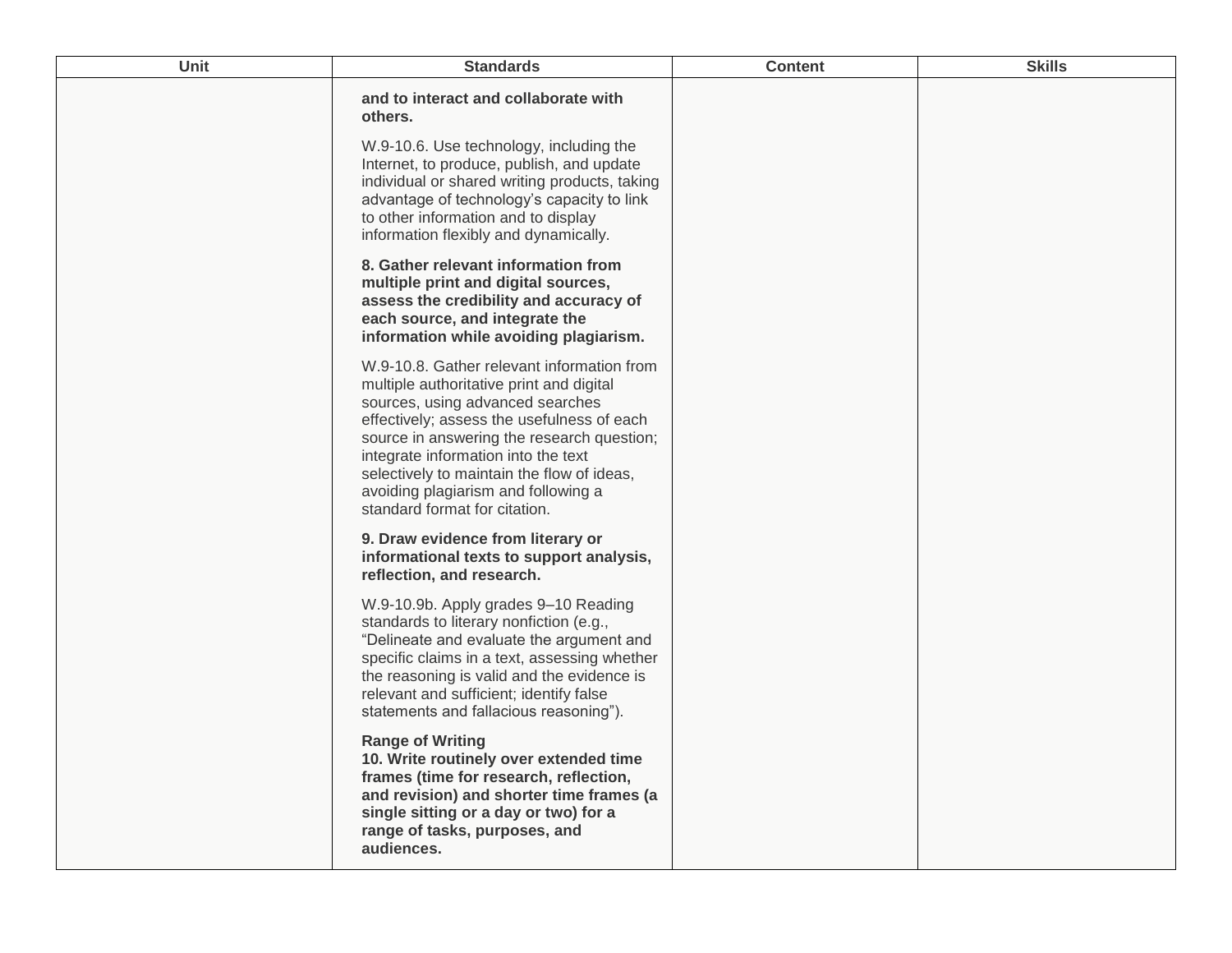| <b>Unit</b> | <b>Standards</b>                                                                                                                                                                                                                                                                                                                                                                    | <b>Content</b> | <b>Skills</b> |
|-------------|-------------------------------------------------------------------------------------------------------------------------------------------------------------------------------------------------------------------------------------------------------------------------------------------------------------------------------------------------------------------------------------|----------------|---------------|
|             | and to interact and collaborate with<br>others.<br>W.9-10.6. Use technology, including the<br>Internet, to produce, publish, and update<br>individual or shared writing products, taking<br>advantage of technology's capacity to link<br>to other information and to display                                                                                                       |                |               |
|             | information flexibly and dynamically.<br>8. Gather relevant information from<br>multiple print and digital sources,<br>assess the credibility and accuracy of<br>each source, and integrate the<br>information while avoiding plagiarism.                                                                                                                                           |                |               |
|             | W.9-10.8. Gather relevant information from<br>multiple authoritative print and digital<br>sources, using advanced searches<br>effectively; assess the usefulness of each<br>source in answering the research question;<br>integrate information into the text<br>selectively to maintain the flow of ideas,<br>avoiding plagiarism and following a<br>standard format for citation. |                |               |
|             | 9. Draw evidence from literary or<br>informational texts to support analysis,<br>reflection, and research.                                                                                                                                                                                                                                                                          |                |               |
|             | W.9-10.9b. Apply grades 9-10 Reading<br>standards to literary nonfiction (e.g.,<br>"Delineate and evaluate the argument and<br>specific claims in a text, assessing whether<br>the reasoning is valid and the evidence is<br>relevant and sufficient; identify false<br>statements and fallacious reasoning").                                                                      |                |               |
|             | <b>Range of Writing</b><br>10. Write routinely over extended time<br>frames (time for research, reflection,<br>and revision) and shorter time frames (a<br>single sitting or a day or two) for a<br>range of tasks, purposes, and<br>audiences.                                                                                                                                     |                |               |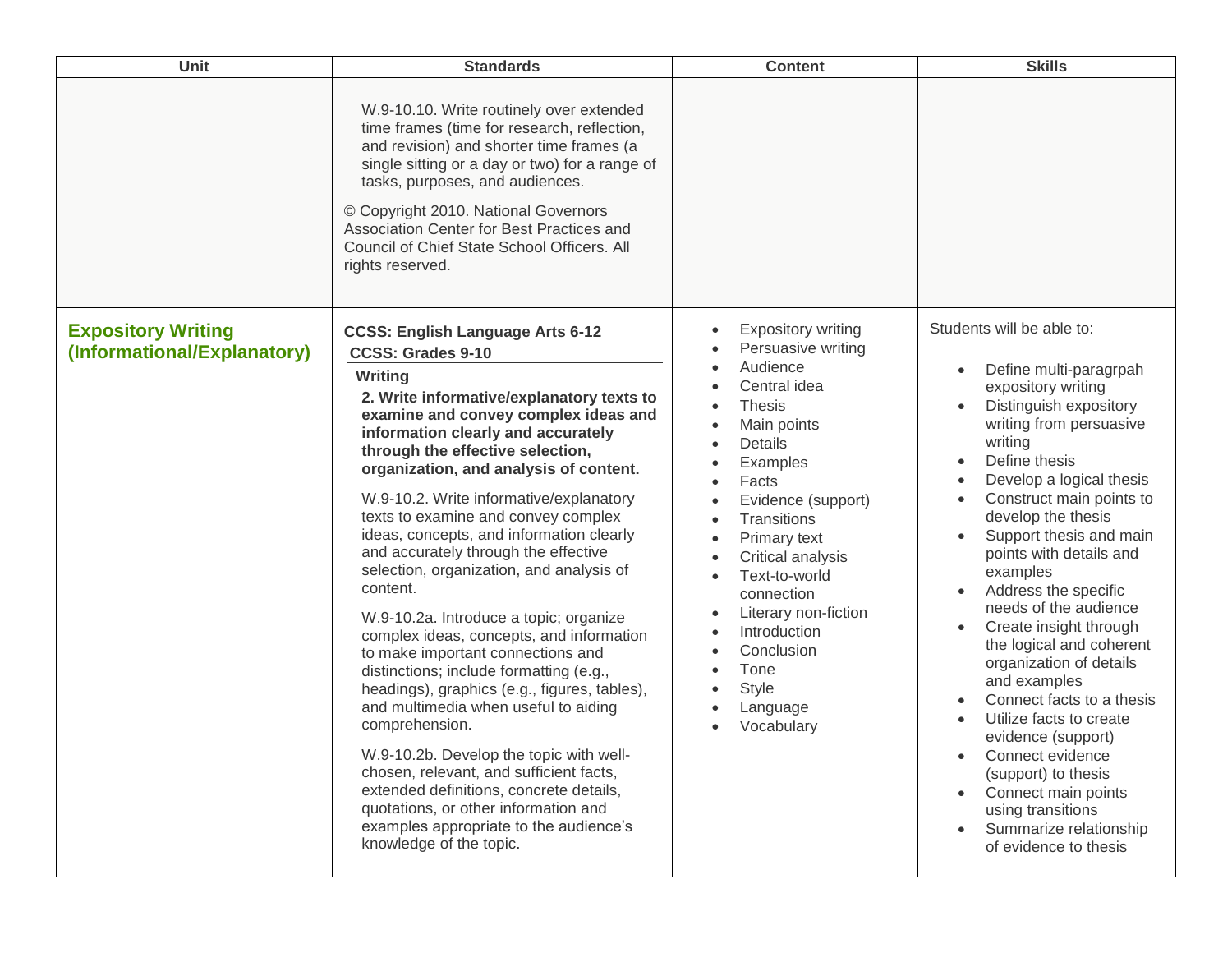| Unit                                                     | <b>Standards</b>                                                                                                                                                                                                                                                                                                                                                                                                                                                                                                                                                                                                                                                                                                                                                                                                                                                                                                                                                                                                                                    | <b>Content</b>                                                                                                                                                                                                                                                                                                                                               | <b>Skills</b>                                                                                                                                                                                                                                                                                                                                                                                                                                                                                                                                                                                                                                                                                                                                                      |
|----------------------------------------------------------|-----------------------------------------------------------------------------------------------------------------------------------------------------------------------------------------------------------------------------------------------------------------------------------------------------------------------------------------------------------------------------------------------------------------------------------------------------------------------------------------------------------------------------------------------------------------------------------------------------------------------------------------------------------------------------------------------------------------------------------------------------------------------------------------------------------------------------------------------------------------------------------------------------------------------------------------------------------------------------------------------------------------------------------------------------|--------------------------------------------------------------------------------------------------------------------------------------------------------------------------------------------------------------------------------------------------------------------------------------------------------------------------------------------------------------|--------------------------------------------------------------------------------------------------------------------------------------------------------------------------------------------------------------------------------------------------------------------------------------------------------------------------------------------------------------------------------------------------------------------------------------------------------------------------------------------------------------------------------------------------------------------------------------------------------------------------------------------------------------------------------------------------------------------------------------------------------------------|
|                                                          | W.9-10.10. Write routinely over extended<br>time frames (time for research, reflection,<br>and revision) and shorter time frames (a<br>single sitting or a day or two) for a range of<br>tasks, purposes, and audiences.<br>© Copyright 2010. National Governors<br>Association Center for Best Practices and<br>Council of Chief State School Officers. All<br>rights reserved.                                                                                                                                                                                                                                                                                                                                                                                                                                                                                                                                                                                                                                                                    |                                                                                                                                                                                                                                                                                                                                                              |                                                                                                                                                                                                                                                                                                                                                                                                                                                                                                                                                                                                                                                                                                                                                                    |
| <b>Expository Writing</b><br>(Informational/Explanatory) | <b>CCSS: English Language Arts 6-12</b><br><b>CCSS: Grades 9-10</b><br>Writing<br>2. Write informative/explanatory texts to<br>examine and convey complex ideas and<br>information clearly and accurately<br>through the effective selection,<br>organization, and analysis of content.<br>W.9-10.2. Write informative/explanatory<br>texts to examine and convey complex<br>ideas, concepts, and information clearly<br>and accurately through the effective<br>selection, organization, and analysis of<br>content.<br>W.9-10.2a. Introduce a topic; organize<br>complex ideas, concepts, and information<br>to make important connections and<br>distinctions; include formatting (e.g.,<br>headings), graphics (e.g., figures, tables),<br>and multimedia when useful to aiding<br>comprehension.<br>W.9-10.2b. Develop the topic with well-<br>chosen, relevant, and sufficient facts,<br>extended definitions, concrete details,<br>quotations, or other information and<br>examples appropriate to the audience's<br>knowledge of the topic. | <b>Expository writing</b><br>Persuasive writing<br>Audience<br>Central idea<br><b>Thesis</b><br>Main points<br>Details<br>Examples<br>Facts<br>Evidence (support)<br>Transitions<br>Primary text<br>Critical analysis<br>Text-to-world<br>connection<br>Literary non-fiction<br>Introduction<br>Conclusion<br>Tone<br><b>Style</b><br>Language<br>Vocabulary | Students will be able to:<br>Define multi-paragrpah<br>expository writing<br>Distinguish expository<br>writing from persuasive<br>writing<br>Define thesis<br>Develop a logical thesis<br>$\bullet$<br>Construct main points to<br>develop the thesis<br>Support thesis and main<br>points with details and<br>examples<br>Address the specific<br>needs of the audience<br>Create insight through<br>$\bullet$<br>the logical and coherent<br>organization of details<br>and examples<br>Connect facts to a thesis<br>Utilize facts to create<br>$\bullet$<br>evidence (support)<br>Connect evidence<br>$\bullet$<br>(support) to thesis<br>Connect main points<br>$\bullet$<br>using transitions<br>Summarize relationship<br>$\bullet$<br>of evidence to thesis |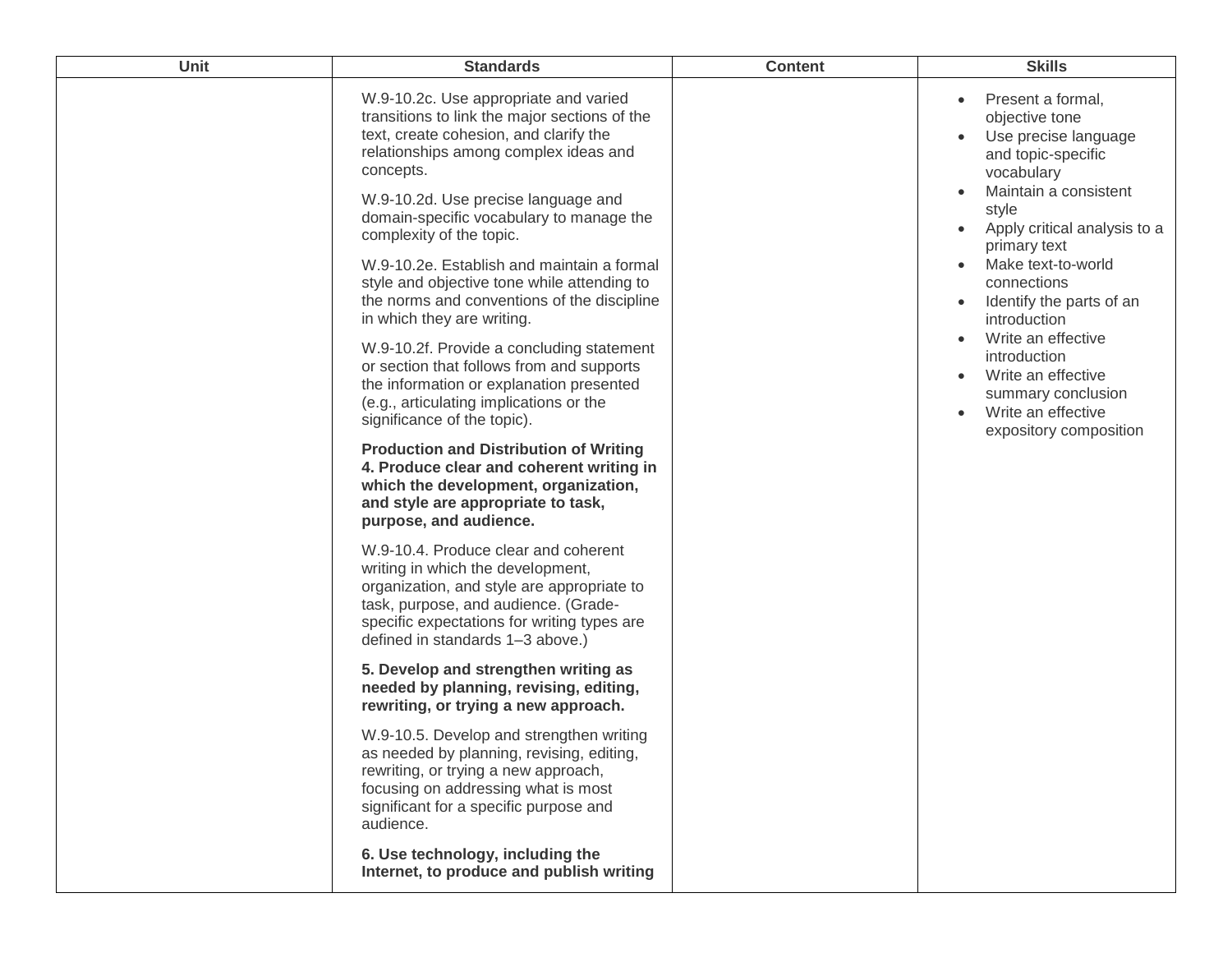| W.9-10.2c. Use appropriate and varied<br>Present a formal,<br>transitions to link the major sections of the<br>objective tone<br>text, create cohesion, and clarify the<br>Use precise language<br>relationships among complex ideas and<br>and topic-specific<br>concepts.<br>vocabulary<br>Maintain a consistent<br>W.9-10.2d. Use precise language and<br>style<br>domain-specific vocabulary to manage the<br>Apply critical analysis to a<br>complexity of the topic.<br>primary text<br>Make text-to-world<br>W.9-10.2e. Establish and maintain a formal<br>$\bullet$<br>style and objective tone while attending to<br>connections<br>the norms and conventions of the discipline<br>Identify the parts of an<br>in which they are writing.<br>introduction<br>Write an effective<br>W.9-10.2f. Provide a concluding statement<br>introduction<br>or section that follows from and supports<br>Write an effective<br>$\bullet$<br>the information or explanation presented<br>summary conclusion<br>(e.g., articulating implications or the<br>Write an effective<br>$\bullet$<br>significance of the topic).<br>expository composition<br><b>Production and Distribution of Writing</b><br>4. Produce clear and coherent writing in<br>which the development, organization,<br>and style are appropriate to task,<br>purpose, and audience.<br>W.9-10.4. Produce clear and coherent<br>writing in which the development,<br>organization, and style are appropriate to<br>task, purpose, and audience. (Grade-<br>specific expectations for writing types are<br>defined in standards 1-3 above.)<br>5. Develop and strengthen writing as<br>needed by planning, revising, editing,<br>rewriting, or trying a new approach.<br>W.9-10.5. Develop and strengthen writing<br>as needed by planning, revising, editing,<br>rewriting, or trying a new approach,<br>focusing on addressing what is most<br>significant for a specific purpose and<br>audience.<br>6. Use technology, including the<br>Internet, to produce and publish writing |
|----------------------------------------------------------------------------------------------------------------------------------------------------------------------------------------------------------------------------------------------------------------------------------------------------------------------------------------------------------------------------------------------------------------------------------------------------------------------------------------------------------------------------------------------------------------------------------------------------------------------------------------------------------------------------------------------------------------------------------------------------------------------------------------------------------------------------------------------------------------------------------------------------------------------------------------------------------------------------------------------------------------------------------------------------------------------------------------------------------------------------------------------------------------------------------------------------------------------------------------------------------------------------------------------------------------------------------------------------------------------------------------------------------------------------------------------------------------------------------------------------------------------------------------------------------------------------------------------------------------------------------------------------------------------------------------------------------------------------------------------------------------------------------------------------------------------------------------------------------------------------------------------------------------------------------------------------------------------------------------------------------------------------------------------------|
|                                                                                                                                                                                                                                                                                                                                                                                                                                                                                                                                                                                                                                                                                                                                                                                                                                                                                                                                                                                                                                                                                                                                                                                                                                                                                                                                                                                                                                                                                                                                                                                                                                                                                                                                                                                                                                                                                                                                                                                                                                                    |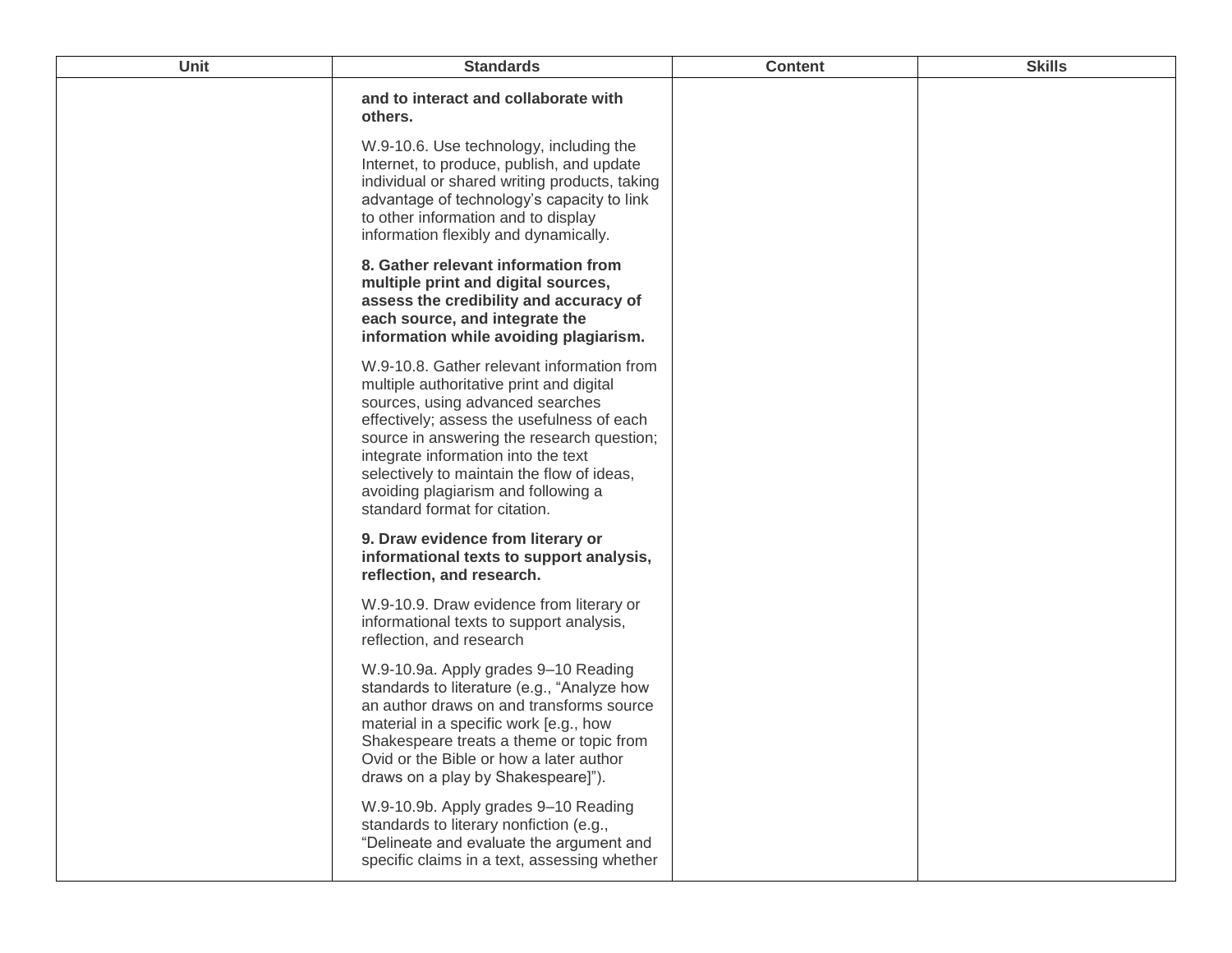| <b>Unit</b> | <b>Standards</b>                                                                                                                                                                                                                                                                                                                                                                    | <b>Content</b> | <b>Skills</b> |
|-------------|-------------------------------------------------------------------------------------------------------------------------------------------------------------------------------------------------------------------------------------------------------------------------------------------------------------------------------------------------------------------------------------|----------------|---------------|
|             | and to interact and collaborate with<br>others.                                                                                                                                                                                                                                                                                                                                     |                |               |
|             | W.9-10.6. Use technology, including the<br>Internet, to produce, publish, and update<br>individual or shared writing products, taking<br>advantage of technology's capacity to link<br>to other information and to display<br>information flexibly and dynamically.                                                                                                                 |                |               |
|             | 8. Gather relevant information from<br>multiple print and digital sources,<br>assess the credibility and accuracy of<br>each source, and integrate the<br>information while avoiding plagiarism.                                                                                                                                                                                    |                |               |
|             | W.9-10.8. Gather relevant information from<br>multiple authoritative print and digital<br>sources, using advanced searches<br>effectively; assess the usefulness of each<br>source in answering the research question;<br>integrate information into the text<br>selectively to maintain the flow of ideas,<br>avoiding plagiarism and following a<br>standard format for citation. |                |               |
|             | 9. Draw evidence from literary or<br>informational texts to support analysis,<br>reflection, and research.                                                                                                                                                                                                                                                                          |                |               |
|             | W.9-10.9. Draw evidence from literary or<br>informational texts to support analysis,<br>reflection, and research                                                                                                                                                                                                                                                                    |                |               |
|             | W.9-10.9a. Apply grades 9-10 Reading<br>standards to literature (e.g., "Analyze how<br>an author draws on and transforms source<br>material in a specific work [e.g., how<br>Shakespeare treats a theme or topic from<br>Ovid or the Bible or how a later author<br>draws on a play by Shakespeare]").                                                                              |                |               |
|             | W.9-10.9b. Apply grades 9-10 Reading<br>standards to literary nonfiction (e.g.,<br>"Delineate and evaluate the argument and<br>specific claims in a text, assessing whether                                                                                                                                                                                                         |                |               |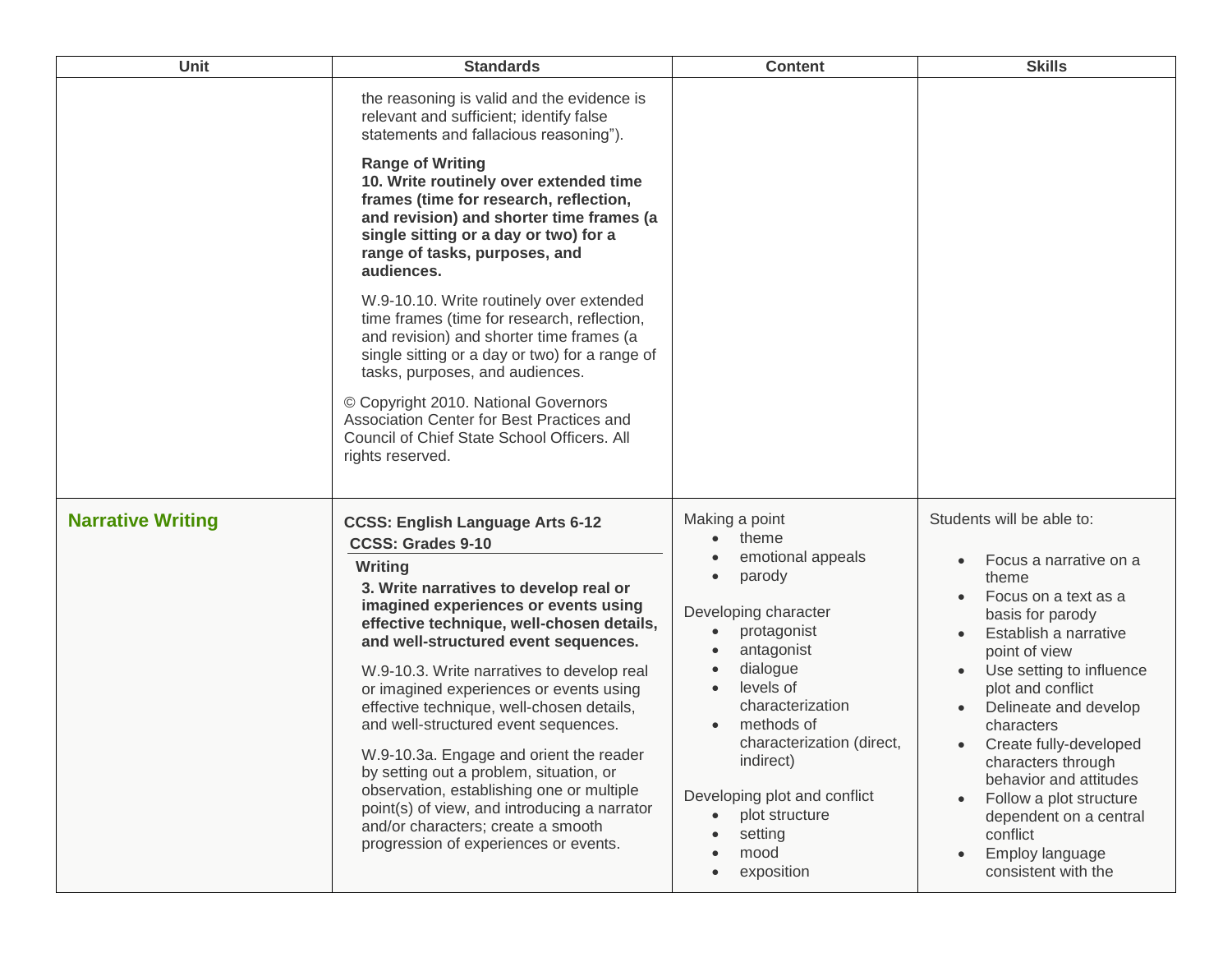| Unit                     | <b>Standards</b>                                                                                                                                                                                                                                                                                                                                                                                                                                                                                                                                                                                                                                                                                      | <b>Content</b>                                                                                                                                                                                                                                                                                                   | <b>Skills</b>                                                                                                                                                                                                                                                                                                                                                                                                                                                                                    |
|--------------------------|-------------------------------------------------------------------------------------------------------------------------------------------------------------------------------------------------------------------------------------------------------------------------------------------------------------------------------------------------------------------------------------------------------------------------------------------------------------------------------------------------------------------------------------------------------------------------------------------------------------------------------------------------------------------------------------------------------|------------------------------------------------------------------------------------------------------------------------------------------------------------------------------------------------------------------------------------------------------------------------------------------------------------------|--------------------------------------------------------------------------------------------------------------------------------------------------------------------------------------------------------------------------------------------------------------------------------------------------------------------------------------------------------------------------------------------------------------------------------------------------------------------------------------------------|
|                          | the reasoning is valid and the evidence is<br>relevant and sufficient; identify false<br>statements and fallacious reasoning").<br><b>Range of Writing</b><br>10. Write routinely over extended time<br>frames (time for research, reflection,<br>and revision) and shorter time frames (a<br>single sitting or a day or two) for a<br>range of tasks, purposes, and<br>audiences.                                                                                                                                                                                                                                                                                                                    |                                                                                                                                                                                                                                                                                                                  |                                                                                                                                                                                                                                                                                                                                                                                                                                                                                                  |
|                          | W.9-10.10. Write routinely over extended<br>time frames (time for research, reflection,<br>and revision) and shorter time frames (a<br>single sitting or a day or two) for a range of<br>tasks, purposes, and audiences.<br>© Copyright 2010. National Governors<br>Association Center for Best Practices and<br>Council of Chief State School Officers. All<br>rights reserved.                                                                                                                                                                                                                                                                                                                      |                                                                                                                                                                                                                                                                                                                  |                                                                                                                                                                                                                                                                                                                                                                                                                                                                                                  |
| <b>Narrative Writing</b> | <b>CCSS: English Language Arts 6-12</b><br><b>CCSS: Grades 9-10</b><br>Writing<br>3. Write narratives to develop real or<br>imagined experiences or events using<br>effective technique, well-chosen details,<br>and well-structured event sequences.<br>W.9-10.3. Write narratives to develop real<br>or imagined experiences or events using<br>effective technique, well-chosen details,<br>and well-structured event sequences.<br>W.9-10.3a. Engage and orient the reader<br>by setting out a problem, situation, or<br>observation, establishing one or multiple<br>point(s) of view, and introducing a narrator<br>and/or characters; create a smooth<br>progression of experiences or events. | Making a point<br>theme<br>emotional appeals<br>parody<br>Developing character<br>protagonist<br>$\bullet$<br>antagonist<br>dialogue<br>levels of<br>characterization<br>methods of<br>characterization (direct,<br>indirect)<br>Developing plot and conflict<br>plot structure<br>setting<br>mood<br>exposition | Students will be able to:<br>Focus a narrative on a<br>$\bullet$<br>theme<br>Focus on a text as a<br>$\bullet$<br>basis for parody<br>Establish a narrative<br>$\bullet$<br>point of view<br>Use setting to influence<br>$\bullet$<br>plot and conflict<br>Delineate and develop<br>characters<br>Create fully-developed<br>$\bullet$<br>characters through<br>behavior and attitudes<br>Follow a plot structure<br>dependent on a central<br>conflict<br>Employ language<br>consistent with the |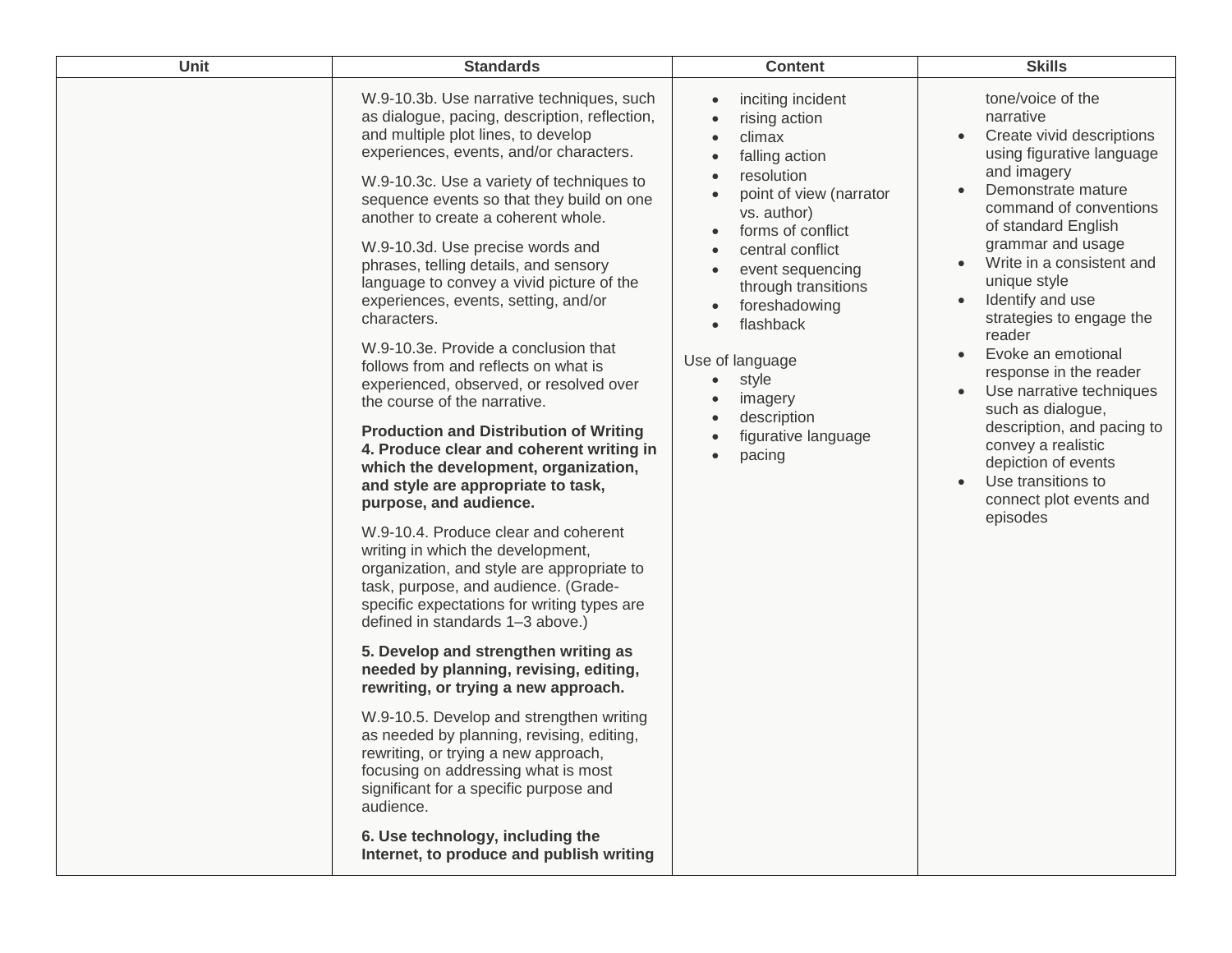| Unit | <b>Standards</b>                                                                                                                                                                                                                                                                                                                                                                                                                                                                                                                                                                                                                                                                                                                                                                                                                                                                                                                                                                                                                                                                                                                                                                                                                                                                                                                                                                                                                                                                                                                                              | <b>Content</b>                                                                                                                                                                                                                                                                                                                                                                                                                                       | <b>Skills</b>                                                                                                                                                                                                                                                                                                                                                                                                                                                                                                                                                                              |
|------|---------------------------------------------------------------------------------------------------------------------------------------------------------------------------------------------------------------------------------------------------------------------------------------------------------------------------------------------------------------------------------------------------------------------------------------------------------------------------------------------------------------------------------------------------------------------------------------------------------------------------------------------------------------------------------------------------------------------------------------------------------------------------------------------------------------------------------------------------------------------------------------------------------------------------------------------------------------------------------------------------------------------------------------------------------------------------------------------------------------------------------------------------------------------------------------------------------------------------------------------------------------------------------------------------------------------------------------------------------------------------------------------------------------------------------------------------------------------------------------------------------------------------------------------------------------|------------------------------------------------------------------------------------------------------------------------------------------------------------------------------------------------------------------------------------------------------------------------------------------------------------------------------------------------------------------------------------------------------------------------------------------------------|--------------------------------------------------------------------------------------------------------------------------------------------------------------------------------------------------------------------------------------------------------------------------------------------------------------------------------------------------------------------------------------------------------------------------------------------------------------------------------------------------------------------------------------------------------------------------------------------|
|      | W.9-10.3b. Use narrative techniques, such<br>as dialogue, pacing, description, reflection,<br>and multiple plot lines, to develop<br>experiences, events, and/or characters.<br>W.9-10.3c. Use a variety of techniques to<br>sequence events so that they build on one<br>another to create a coherent whole.<br>W.9-10.3d. Use precise words and<br>phrases, telling details, and sensory<br>language to convey a vivid picture of the<br>experiences, events, setting, and/or<br>characters.<br>W.9-10.3e. Provide a conclusion that<br>follows from and reflects on what is<br>experienced, observed, or resolved over<br>the course of the narrative.<br><b>Production and Distribution of Writing</b><br>4. Produce clear and coherent writing in<br>which the development, organization,<br>and style are appropriate to task,<br>purpose, and audience.<br>W.9-10.4. Produce clear and coherent<br>writing in which the development,<br>organization, and style are appropriate to<br>task, purpose, and audience. (Grade-<br>specific expectations for writing types are<br>defined in standards 1-3 above.)<br>5. Develop and strengthen writing as<br>needed by planning, revising, editing,<br>rewriting, or trying a new approach.<br>W.9-10.5. Develop and strengthen writing<br>as needed by planning, revising, editing,<br>rewriting, or trying a new approach,<br>focusing on addressing what is most<br>significant for a specific purpose and<br>audience.<br>6. Use technology, including the<br>Internet, to produce and publish writing | inciting incident<br>$\bullet$<br>rising action<br>climax<br>falling action<br>resolution<br>point of view (narrator<br>$\bullet$<br>vs. author)<br>forms of conflict<br>$\bullet$<br>central conflict<br>$\bullet$<br>event sequencing<br>$\bullet$<br>through transitions<br>foreshadowing<br>$\bullet$<br>flashback<br>$\bullet$<br>Use of language<br>style<br>$\bullet$<br>imagery<br>description<br>figurative language<br>pacing<br>$\bullet$ | tone/voice of the<br>narrative<br>Create vivid descriptions<br>using figurative language<br>and imagery<br>Demonstrate mature<br>command of conventions<br>of standard English<br>grammar and usage<br>Write in a consistent and<br>$\bullet$<br>unique style<br>Identify and use<br>$\bullet$<br>strategies to engage the<br>reader<br>Evoke an emotional<br>response in the reader<br>Use narrative techniques<br>such as dialogue,<br>description, and pacing to<br>convey a realistic<br>depiction of events<br>Use transitions to<br>$\bullet$<br>connect plot events and<br>episodes |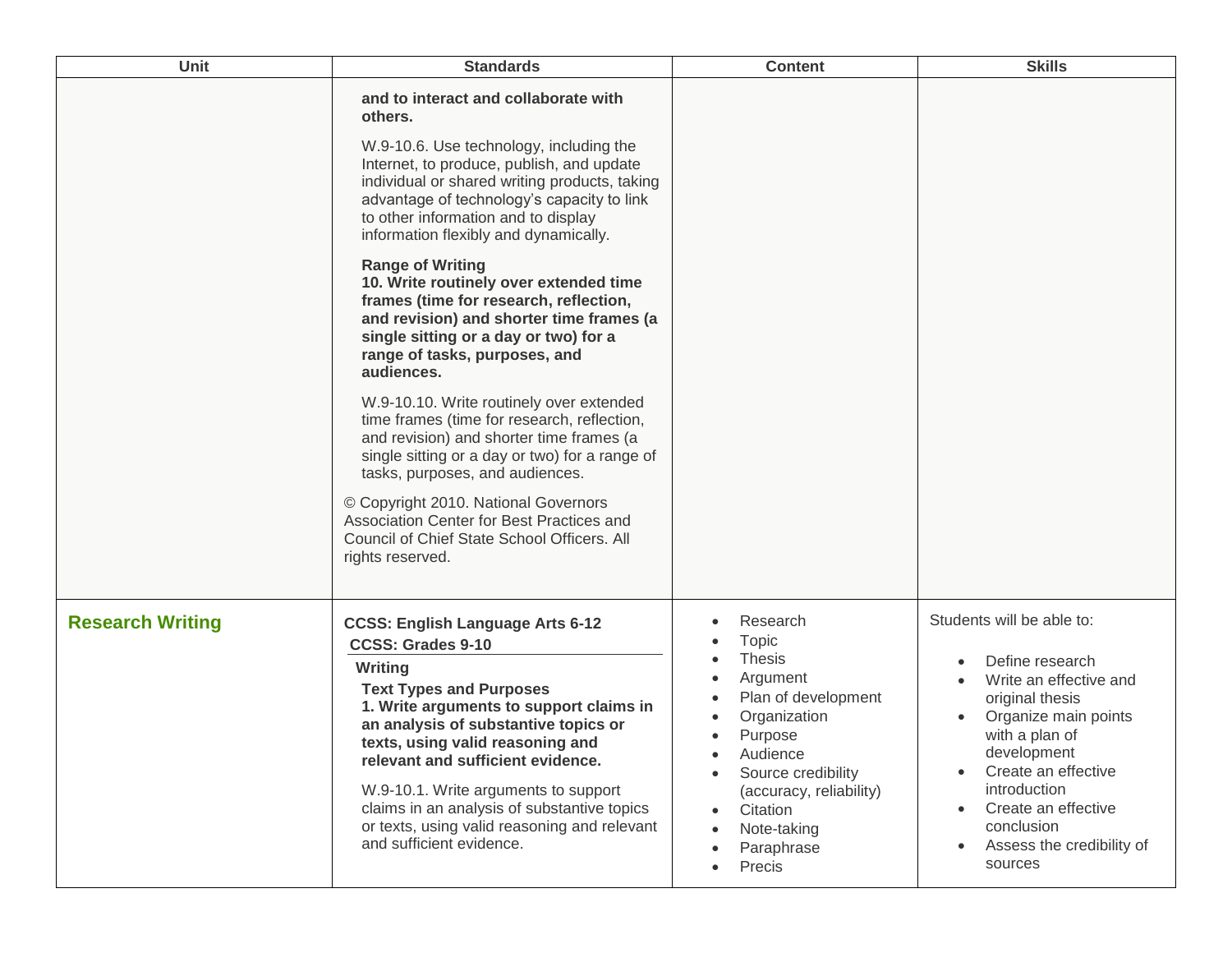| <b>Unit</b>             | <b>Standards</b>                                                                                                                                                                                                                                                                                                                                                                                                                                | <b>Content</b>                                                                                                                                                                                                   | <b>Skills</b>                                                                                                                                                                                                                                                                                                 |
|-------------------------|-------------------------------------------------------------------------------------------------------------------------------------------------------------------------------------------------------------------------------------------------------------------------------------------------------------------------------------------------------------------------------------------------------------------------------------------------|------------------------------------------------------------------------------------------------------------------------------------------------------------------------------------------------------------------|---------------------------------------------------------------------------------------------------------------------------------------------------------------------------------------------------------------------------------------------------------------------------------------------------------------|
|                         | and to interact and collaborate with<br>others.<br>W.9-10.6. Use technology, including the<br>Internet, to produce, publish, and update<br>individual or shared writing products, taking<br>advantage of technology's capacity to link<br>to other information and to display<br>information flexibly and dynamically.                                                                                                                          |                                                                                                                                                                                                                  |                                                                                                                                                                                                                                                                                                               |
|                         | <b>Range of Writing</b><br>10. Write routinely over extended time<br>frames (time for research, reflection,<br>and revision) and shorter time frames (a<br>single sitting or a day or two) for a<br>range of tasks, purposes, and<br>audiences.                                                                                                                                                                                                 |                                                                                                                                                                                                                  |                                                                                                                                                                                                                                                                                                               |
|                         | W.9-10.10. Write routinely over extended<br>time frames (time for research, reflection,<br>and revision) and shorter time frames (a<br>single sitting or a day or two) for a range of<br>tasks, purposes, and audiences.<br>© Copyright 2010. National Governors<br>Association Center for Best Practices and<br>Council of Chief State School Officers. All<br>rights reserved.                                                                |                                                                                                                                                                                                                  |                                                                                                                                                                                                                                                                                                               |
|                         |                                                                                                                                                                                                                                                                                                                                                                                                                                                 |                                                                                                                                                                                                                  |                                                                                                                                                                                                                                                                                                               |
| <b>Research Writing</b> | <b>CCSS: English Language Arts 6-12</b><br><b>CCSS: Grades 9-10</b><br>Writing<br><b>Text Types and Purposes</b><br>1. Write arguments to support claims in<br>an analysis of substantive topics or<br>texts, using valid reasoning and<br>relevant and sufficient evidence.<br>W.9-10.1. Write arguments to support<br>claims in an analysis of substantive topics<br>or texts, using valid reasoning and relevant<br>and sufficient evidence. | Research<br>Topic<br><b>Thesis</b><br>Argument<br>Plan of development<br>Organization<br>Purpose<br>Audience<br>Source credibility<br>(accuracy, reliability)<br>Citation<br>Note-taking<br>Paraphrase<br>Precis | Students will be able to:<br>Define research<br>Write an effective and<br>original thesis<br>Organize main points<br>with a plan of<br>development<br>Create an effective<br>$\bullet$<br>introduction<br>Create an effective<br>$\bullet$<br>conclusion<br>Assess the credibility of<br>$\bullet$<br>sources |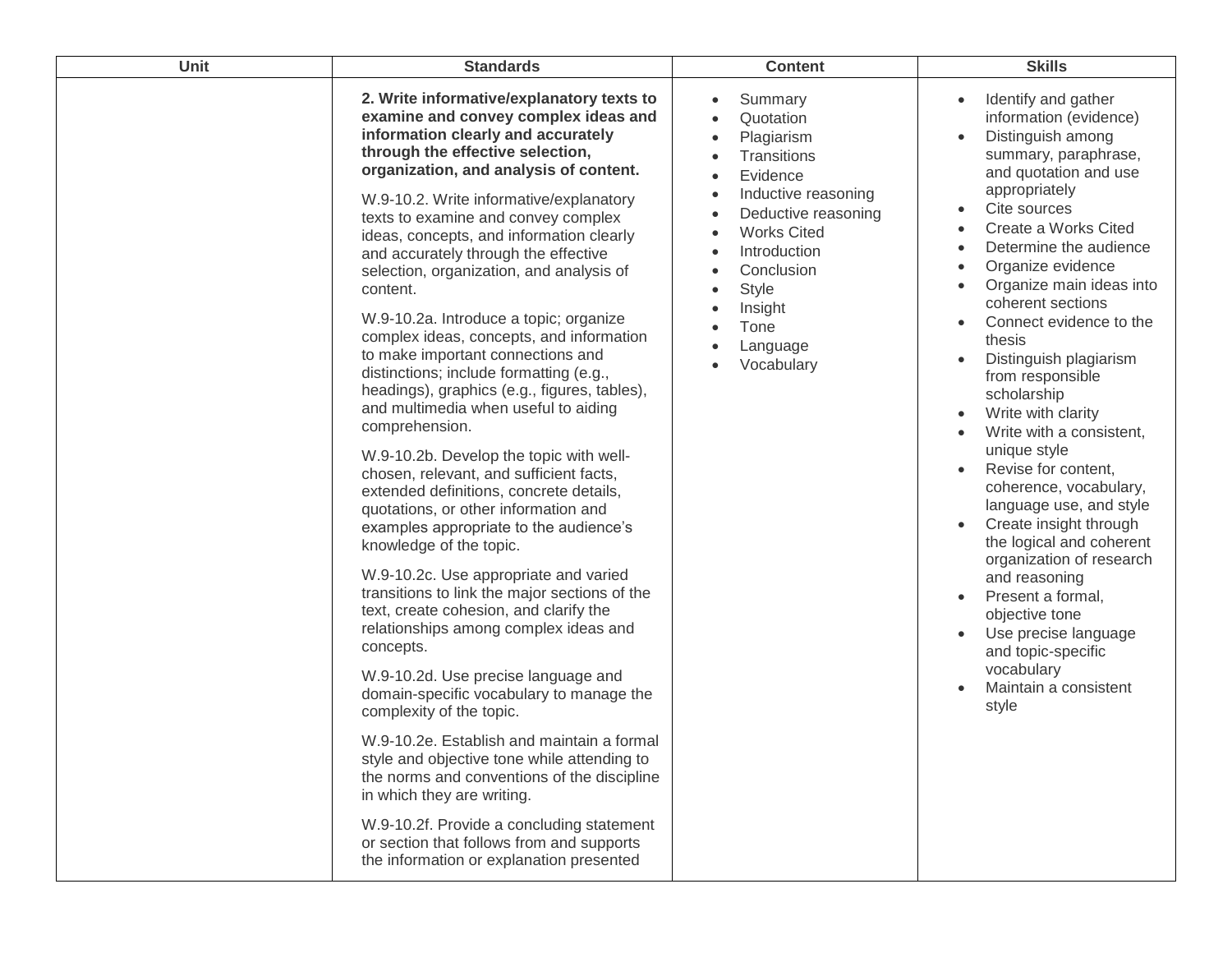| Unit | <b>Standards</b>                                                                                                                                                                                                                                                                                                                                                                                                                                                                                                                                                                                                                                                                                                                                                                                                                                                                                                                                                                                                                                                                                                                                                                                                                                                                                                                                                                                                                                                                                                                                                                           | <b>Content</b>                                                                                                                                                                                                               | <b>Skills</b>                                                                                                                                                                                                                                                                                                                                                                                                                                                                                                                                                                                                                                                                                                                                                                                                                                                                                                                                                           |
|------|--------------------------------------------------------------------------------------------------------------------------------------------------------------------------------------------------------------------------------------------------------------------------------------------------------------------------------------------------------------------------------------------------------------------------------------------------------------------------------------------------------------------------------------------------------------------------------------------------------------------------------------------------------------------------------------------------------------------------------------------------------------------------------------------------------------------------------------------------------------------------------------------------------------------------------------------------------------------------------------------------------------------------------------------------------------------------------------------------------------------------------------------------------------------------------------------------------------------------------------------------------------------------------------------------------------------------------------------------------------------------------------------------------------------------------------------------------------------------------------------------------------------------------------------------------------------------------------------|------------------------------------------------------------------------------------------------------------------------------------------------------------------------------------------------------------------------------|-------------------------------------------------------------------------------------------------------------------------------------------------------------------------------------------------------------------------------------------------------------------------------------------------------------------------------------------------------------------------------------------------------------------------------------------------------------------------------------------------------------------------------------------------------------------------------------------------------------------------------------------------------------------------------------------------------------------------------------------------------------------------------------------------------------------------------------------------------------------------------------------------------------------------------------------------------------------------|
|      | 2. Write informative/explanatory texts to<br>examine and convey complex ideas and<br>information clearly and accurately<br>through the effective selection,<br>organization, and analysis of content.<br>W.9-10.2. Write informative/explanatory<br>texts to examine and convey complex<br>ideas, concepts, and information clearly<br>and accurately through the effective<br>selection, organization, and analysis of<br>content.<br>W.9-10.2a. Introduce a topic; organize<br>complex ideas, concepts, and information<br>to make important connections and<br>distinctions; include formatting (e.g.,<br>headings), graphics (e.g., figures, tables),<br>and multimedia when useful to aiding<br>comprehension.<br>W.9-10.2b. Develop the topic with well-<br>chosen, relevant, and sufficient facts,<br>extended definitions, concrete details,<br>quotations, or other information and<br>examples appropriate to the audience's<br>knowledge of the topic.<br>W.9-10.2c. Use appropriate and varied<br>transitions to link the major sections of the<br>text, create cohesion, and clarify the<br>relationships among complex ideas and<br>concepts.<br>W.9-10.2d. Use precise language and<br>domain-specific vocabulary to manage the<br>complexity of the topic.<br>W.9-10.2e. Establish and maintain a formal<br>style and objective tone while attending to<br>the norms and conventions of the discipline<br>in which they are writing.<br>W.9-10.2f. Provide a concluding statement<br>or section that follows from and supports<br>the information or explanation presented | Summary<br>Quotation<br>Plagiarism<br>Transitions<br>Evidence<br>Inductive reasoning<br>Deductive reasoning<br><b>Works Cited</b><br>Introduction<br>Conclusion<br><b>Style</b><br>Insight<br>Tone<br>Language<br>Vocabulary | Identify and gather<br>$\bullet$<br>information (evidence)<br>Distinguish among<br>$\bullet$<br>summary, paraphrase,<br>and quotation and use<br>appropriately<br>Cite sources<br>$\bullet$<br>Create a Works Cited<br>$\bullet$<br>Determine the audience<br>$\bullet$<br>Organize evidence<br>$\bullet$<br>Organize main ideas into<br>$\bullet$<br>coherent sections<br>Connect evidence to the<br>$\bullet$<br>thesis<br>Distinguish plagiarism<br>$\bullet$<br>from responsible<br>scholarship<br>Write with clarity<br>$\bullet$<br>Write with a consistent,<br>$\bullet$<br>unique style<br>Revise for content,<br>$\bullet$<br>coherence, vocabulary,<br>language use, and style<br>Create insight through<br>$\bullet$<br>the logical and coherent<br>organization of research<br>and reasoning<br>Present a formal,<br>$\bullet$<br>objective tone<br>Use precise language<br>$\bullet$<br>and topic-specific<br>vocabulary<br>Maintain a consistent<br>style |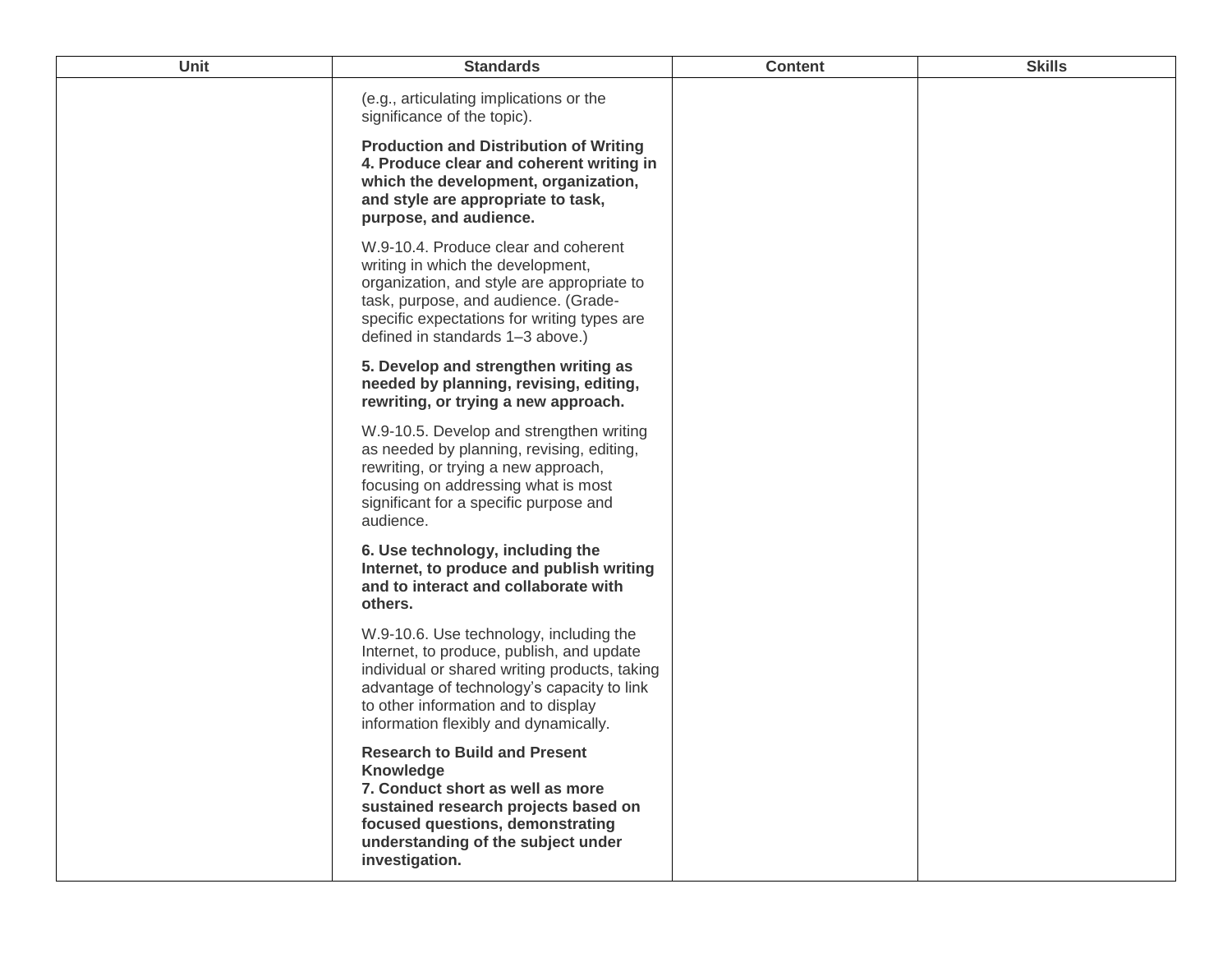| Unit | <b>Standards</b>                                                                                                                                                                                                                                                    | <b>Content</b> | <b>Skills</b> |
|------|---------------------------------------------------------------------------------------------------------------------------------------------------------------------------------------------------------------------------------------------------------------------|----------------|---------------|
|      | (e.g., articulating implications or the<br>significance of the topic).                                                                                                                                                                                              |                |               |
|      | <b>Production and Distribution of Writing</b><br>4. Produce clear and coherent writing in<br>which the development, organization,<br>and style are appropriate to task,<br>purpose, and audience.                                                                   |                |               |
|      | W.9-10.4. Produce clear and coherent<br>writing in which the development,<br>organization, and style are appropriate to<br>task, purpose, and audience. (Grade-<br>specific expectations for writing types are<br>defined in standards 1-3 above.)                  |                |               |
|      | 5. Develop and strengthen writing as<br>needed by planning, revising, editing,<br>rewriting, or trying a new approach.                                                                                                                                              |                |               |
|      | W.9-10.5. Develop and strengthen writing<br>as needed by planning, revising, editing,<br>rewriting, or trying a new approach,<br>focusing on addressing what is most<br>significant for a specific purpose and<br>audience.                                         |                |               |
|      | 6. Use technology, including the<br>Internet, to produce and publish writing<br>and to interact and collaborate with<br>others.                                                                                                                                     |                |               |
|      | W.9-10.6. Use technology, including the<br>Internet, to produce, publish, and update<br>individual or shared writing products, taking<br>advantage of technology's capacity to link<br>to other information and to display<br>information flexibly and dynamically. |                |               |
|      | <b>Research to Build and Present</b><br><b>Knowledge</b><br>7. Conduct short as well as more<br>sustained research projects based on<br>focused questions, demonstrating<br>understanding of the subject under<br>investigation.                                    |                |               |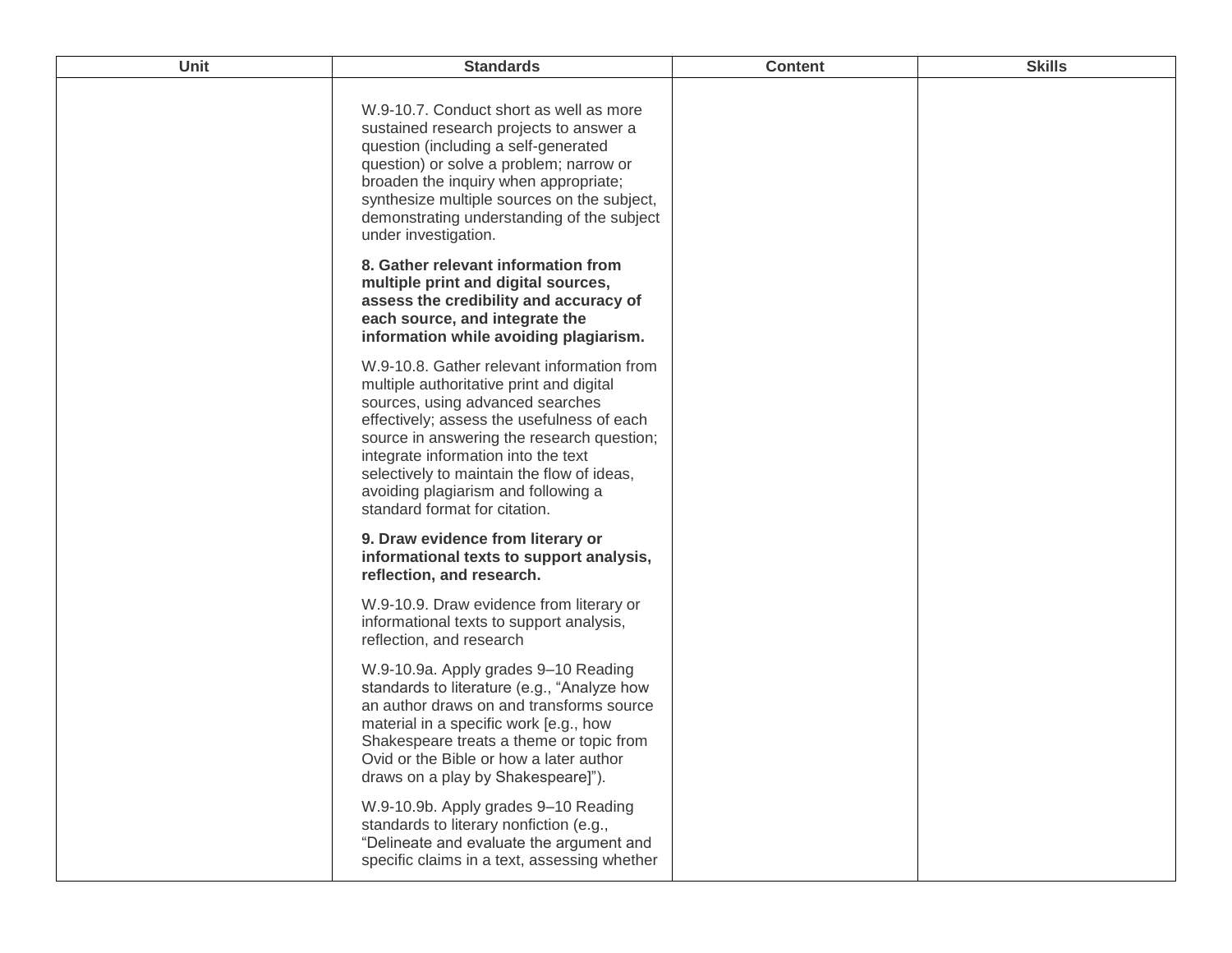| <b>Unit</b> | <b>Standards</b>                                                                                                                                                                                                                                                                                                                                                                    | <b>Content</b> | <b>Skills</b> |
|-------------|-------------------------------------------------------------------------------------------------------------------------------------------------------------------------------------------------------------------------------------------------------------------------------------------------------------------------------------------------------------------------------------|----------------|---------------|
|             | W.9-10.7. Conduct short as well as more<br>sustained research projects to answer a<br>question (including a self-generated<br>question) or solve a problem; narrow or<br>broaden the inquiry when appropriate;<br>synthesize multiple sources on the subject,<br>demonstrating understanding of the subject<br>under investigation.                                                 |                |               |
|             | 8. Gather relevant information from<br>multiple print and digital sources,<br>assess the credibility and accuracy of<br>each source, and integrate the<br>information while avoiding plagiarism.                                                                                                                                                                                    |                |               |
|             | W.9-10.8. Gather relevant information from<br>multiple authoritative print and digital<br>sources, using advanced searches<br>effectively; assess the usefulness of each<br>source in answering the research question;<br>integrate information into the text<br>selectively to maintain the flow of ideas,<br>avoiding plagiarism and following a<br>standard format for citation. |                |               |
|             | 9. Draw evidence from literary or<br>informational texts to support analysis,<br>reflection, and research.                                                                                                                                                                                                                                                                          |                |               |
|             | W.9-10.9. Draw evidence from literary or<br>informational texts to support analysis,<br>reflection, and research                                                                                                                                                                                                                                                                    |                |               |
|             | W.9-10.9a. Apply grades 9-10 Reading<br>standards to literature (e.g., "Analyze how<br>an author draws on and transforms source<br>material in a specific work [e.g., how<br>Shakespeare treats a theme or topic from<br>Ovid or the Bible or how a later author<br>draws on a play by Shakespeare]").                                                                              |                |               |
|             | W.9-10.9b. Apply grades 9-10 Reading<br>standards to literary nonfiction (e.g.,<br>"Delineate and evaluate the argument and<br>specific claims in a text, assessing whether                                                                                                                                                                                                         |                |               |